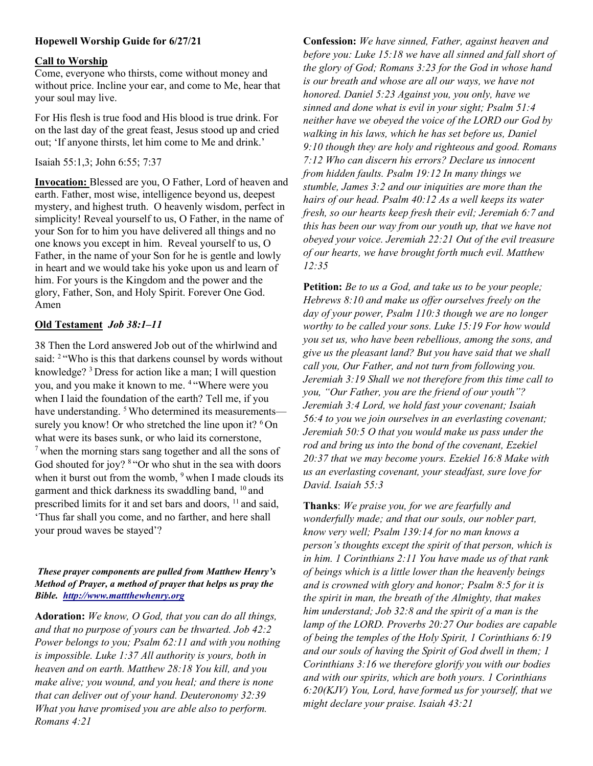# Hopewell Worship Guide for 6/27/21

#### Call to Worship

Come, everyone who thirsts, come without money and without price. Incline your ear, and come to Me, hear that your soul may live.

For His flesh is true food and His blood is true drink. For on the last day of the great feast, Jesus stood up and cried out; 'If anyone thirsts, let him come to Me and drink.'

Isaiah 55:1,3; John 6:55; 7:37

Invocation: Blessed are you, O Father, Lord of heaven and earth. Father, most wise, intelligence beyond us, deepest mystery, and highest truth. O heavenly wisdom, perfect in simplicity! Reveal yourself to us, O Father, in the name of your Son for to him you have delivered all things and no one knows you except in him. Reveal yourself to us, O Father, in the name of your Son for he is gentle and lowly in heart and we would take his yoke upon us and learn of him. For yours is the Kingdom and the power and the glory, Father, Son, and Holy Spirit. Forever One God. Amen

## Old Testament Job 38:1–11

38 Then the Lord answered Job out of the whirlwind and said: <sup>2</sup> "Who is this that darkens counsel by words without knowledge? <sup>3</sup>Dress for action like a man; I will question you, and you make it known to me. <sup>4</sup>"Where were you when I laid the foundation of the earth? Tell me, if you have understanding. <sup>5</sup> Who determined its measurements surely you know! Or who stretched the line upon it? <sup>6</sup>On what were its bases sunk, or who laid its cornerstone,  $<sup>7</sup>$  when the morning stars sang together and all the sons of</sup> God shouted for joy? <sup>8</sup> "Or who shut in the sea with doors" when it burst out from the womb,  $9$  when I made clouds its garment and thick darkness its swaddling band, <sup>10</sup> and prescribed limits for it and set bars and doors, <sup>11</sup> and said, 'Thus far shall you come, and no farther, and here shall your proud waves be stayed'?

### These prayer components are pulled from Matthew Henry's Method of Prayer, a method of prayer that helps us pray the Bible. http://www.mattthewhenry.org

Adoration: We know, O God, that you can do all things, and that no purpose of yours can be thwarted. Job 42:2 Power belongs to you; Psalm 62:11 and with you nothing is impossible. Luke 1:37 All authority is yours, both in heaven and on earth. Matthew 28:18 You kill, and you make alive; you wound, and you heal; and there is none that can deliver out of your hand. Deuteronomy 32:39 What you have promised you are able also to perform. Romans 4:21

Confession: We have sinned, Father, against heaven and before you: Luke 15:18 we have all sinned and fall short of the glory of God; Romans 3:23 for the God in whose hand is our breath and whose are all our ways, we have not honored. Daniel 5:23 Against you, you only, have we sinned and done what is evil in your sight; Psalm 51:4 neither have we obeyed the voice of the LORD our God by walking in his laws, which he has set before us, Daniel 9:10 though they are holy and righteous and good. Romans 7:12 Who can discern his errors? Declare us innocent from hidden faults. Psalm 19:12 In many things we stumble, James 3:2 and our iniquities are more than the hairs of our head. Psalm 40:12 As a well keeps its water fresh, so our hearts keep fresh their evil; Jeremiah 6:7 and this has been our way from our youth up, that we have not obeyed your voice. Jeremiah 22:21 Out of the evil treasure of our hearts, we have brought forth much evil. Matthew 12:35

Petition: Be to us a God, and take us to be your people; Hebrews 8:10 and make us offer ourselves freely on the day of your power, Psalm 110:3 though we are no longer worthy to be called your sons. Luke 15:19 For how would you set us, who have been rebellious, among the sons, and give us the pleasant land? But you have said that we shall call you, Our Father, and not turn from following you. Jeremiah 3:19 Shall we not therefore from this time call to you, "Our Father, you are the friend of our youth"? Jeremiah 3:4 Lord, we hold fast your covenant; Isaiah 56:4 to you we join ourselves in an everlasting covenant; Jeremiah 50:5 O that you would make us pass under the rod and bring us into the bond of the covenant, Ezekiel 20:37 that we may become yours. Ezekiel 16:8 Make with us an everlasting covenant, your steadfast, sure love for David. Isaiah 55:3

Thanks: We praise you, for we are fearfully and wonderfully made; and that our souls, our nobler part, know very well; Psalm 139:14 for no man knows a person's thoughts except the spirit of that person, which is in him. 1 Corinthians 2:11 You have made us of that rank of beings which is a little lower than the heavenly beings and is crowned with glory and honor; Psalm 8:5 for it is the spirit in man, the breath of the Almighty, that makes him understand; Job 32:8 and the spirit of a man is the lamp of the LORD. Proverbs 20:27 Our bodies are capable of being the temples of the Holy Spirit, 1 Corinthians 6:19 and our souls of having the Spirit of God dwell in them; 1 Corinthians 3:16 we therefore glorify you with our bodies and with our spirits, which are both yours. 1 Corinthians 6:20(KJV) You, Lord, have formed us for yourself, that we might declare your praise. Isaiah 43:21